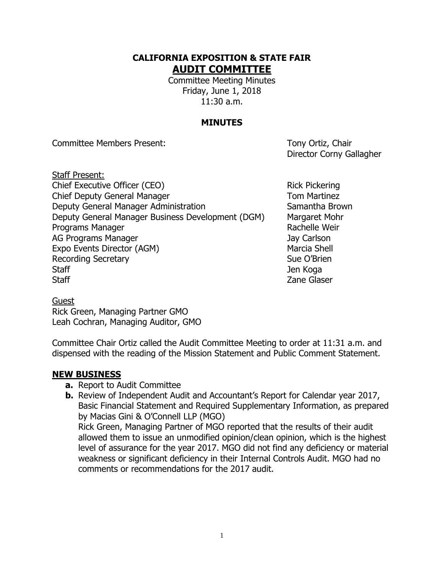# **CALIFORNIA EXPOSITION & STATE FAIR AUDIT COMMITTEE**

Committee Meeting Minutes Friday, June 1, 2018 11:30 a.m.

# **MINUTES**

Committee Members Present: Tony Ortiz, Chair

Director Corny Gallagher

Staff Present: Chief Executive Officer (CEO) Rick Pickering Chief Deputy General Manager The Chief Deputy General Manager Deputy General Manager Administration Samantha Brown Deputy General Manager Business Development (DGM) Margaret Mohr Programs Manager **Rachelle Weir** Rachelle Weir AG Programs Manager Jay Carlson Expo Events Director (AGM) Marcia Shell Recording Secretary **Sue O'Brien** Sue O'Brien Staff Jen Koga and Staff Jen Koga and Staff Jen Koga and Staff Jen Koga and Staff Jen Koga and Staff Jen Koga Staff **Example 2018** Staff **Contract Contract Contract Contract Contract Contract Contract Contract Contract Contract Contract Contract Contract Contract Contract Contract Contract Contract Contract Contract Contract Contr** 

**Guest** Rick Green, Managing Partner GMO Leah Cochran, Managing Auditor, GMO

Committee Chair Ortiz called the Audit Committee Meeting to order at 11:31 a.m. and dispensed with the reading of the Mission Statement and Public Comment Statement.

#### **NEW BUSINESS**

- **a.** Report to Audit Committee
- **b.** Review of Independent Audit and Accountant's Report for Calendar year 2017, Basic Financial Statement and Required Supplementary Information, as prepared by Macias Gini & O'Connell LLP (MGO) Rick Green, Managing Partner of MGO reported that the results of their audit allowed them to issue an unmodified opinion/clean opinion, which is the highest level of assurance for the year 2017. MGO did not find any deficiency or material weakness or significant deficiency in their Internal Controls Audit. MGO had no comments or recommendations for the 2017 audit.